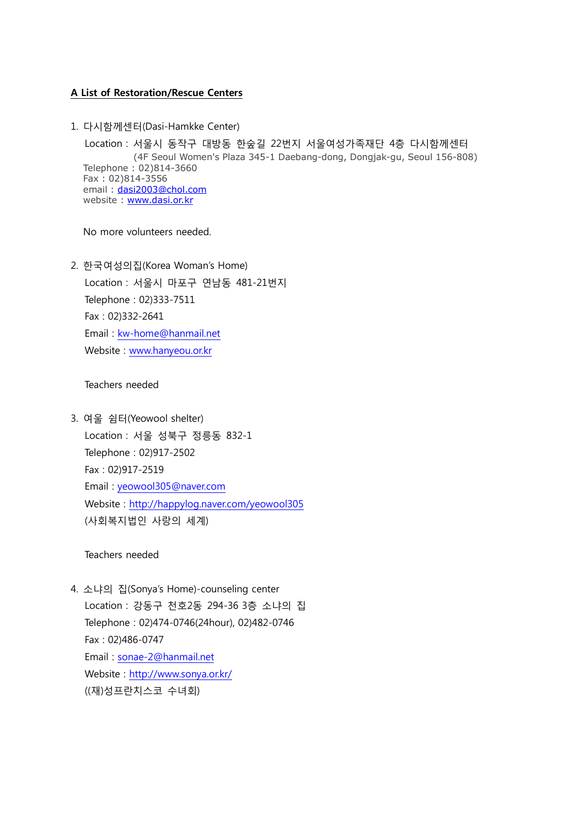## A List of Restoration/Rescue Centers

1. 다시함께센터(Dasi-Hamkke Center)

Location : 서울시 동작구 대방동 한숲길 22번지 서울여성가족재단 4층 다시함께센터 (4F Seoul Women's Plaza 345-1 Daebang-dong, Dongjak-gu, Seoul 156-808) Telephone : 02)814-3660 Fax : 02)814-3556 email: [dasi2003@chol.com](mailto:dasi2003@chol.com) website : [www.dasi.or.kr](http://www.dasi.or.kr/)

No more volunteers needed.

2. 한국여성의집(Korea Woman's Home) Location : 서울시 마포구 연남동 481-21번지 Telephone : 02)333-7511 Fax : 02)332-2641 Email : [kw-home@hanmail.net](mailto:kw-home@hanmail.net) Website : [www.hanyeou.or.kr](http://www.hanyeou.or.kr/)

Teachers needed

3. 여울 쉼터(Yeowool shelter) Location : 서울 성북구 정릉동 832-1 Telephone : 02)917-2502 Fax : 02)917-2519 Email : [yeowool305@naver.com](mailto:yeowool305@naver.com) Website :<http://happylog.naver.com/yeowool305> (사회복지법인 사랑의 세계)

Teachers needed

4. 소냐의 집(Sonya's Home)-counseling center Location : 강동구 천호2동 294-36 3층 소냐의 집 Telephone : 02)474-0746(24hour), 02)482-0746 Fax : 02)486-0747 Email : [sonae-2@hanmail.net](mailto:sonae-2@hanmail.net) Website :<http://www.sonya.or.kr/> ((재)성프란치스코 수녀회)